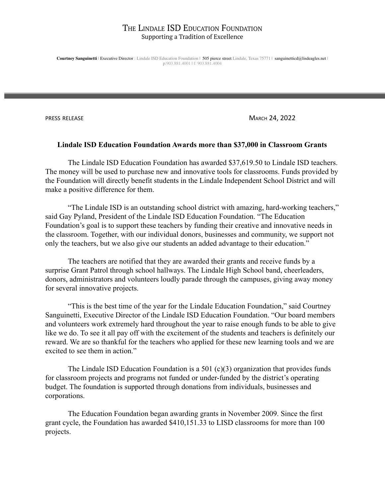**Courtney Sanguinetti** | Executive Director : Lindale ISD Education Foundation | 505 pierce street Lindale, Texas 75771 | sanguinetticd@lisdeagles.net | p:903.881.4001 | f: 903.881.4004

PRESS RELEASE MARCH 24, 2022

#### **Lindale ISD Education Foundation Awards more than \$37,000 in Classroom Grants**

The Lindale ISD Education Foundation has awarded \$37,619.50 to Lindale ISD teachers. The money will be used to purchase new and innovative tools for classrooms. Funds provided by the Foundation will directly benefit students in the Lindale Independent School District and will make a positive difference for them.

"The Lindale ISD is an outstanding school district with amazing, hard-working teachers," said Gay Pyland, President of the Lindale ISD Education Foundation. "The Education Foundation's goal is to support these teachers by funding their creative and innovative needs in the classroom. Together, with our individual donors, businesses and community, we support not only the teachers, but we also give our students an added advantage to their education."

The teachers are notified that they are awarded their grants and receive funds by a surprise Grant Patrol through school hallways. The Lindale High School band, cheerleaders, donors, administrators and volunteers loudly parade through the campuses, giving away money for several innovative projects.

"This is the best time of the year for the Lindale Education Foundation," said Courtney Sanguinetti, Executive Director of the Lindale ISD Education Foundation. "Our board members and volunteers work extremely hard throughout the year to raise enough funds to be able to give like we do. To see it all pay off with the excitement of the students and teachers is definitely our reward. We are so thankful for the teachers who applied for these new learning tools and we are excited to see them in action."

The Lindale ISD Education Foundation is a 501 (c)(3) organization that provides funds for classroom projects and programs not funded or under-funded by the district's operating budget. The foundation is supported through donations from individuals, businesses and corporations.

The Education Foundation began awarding grants in November 2009. Since the first grant cycle, the Foundation has awarded \$410,151.33 to LISD classrooms for more than 100 projects.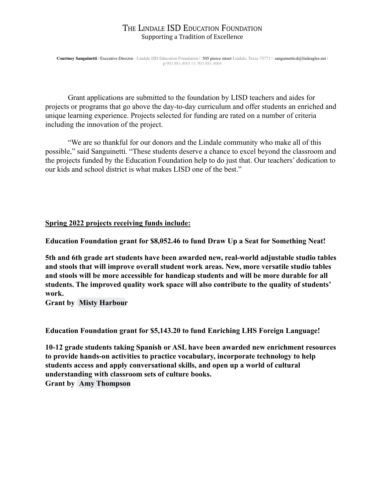**Courtney Sanguinetti** | Executive Director : Lindale ISD Education Foundation | 505 pierce street Lindale, Texas 75771 | sanguinetticd@lisdeagles.net | p:903.881.4001 | f: 903.881.4004

Grant applications are submitted to the foundation by LISD teachers and aides for projects or programs that go above the day-to-day curriculum and offer students an enriched and unique learning experience. Projects selected for funding are rated on a number of criteria including the innovation of the project.

"We are so thankful for our donors and the Lindale community who make all of this possible," said Sanguinetti. "These students deserve a chance to excel beyond the classroom and the projects funded by the Education Foundation help to do just that. Our teachers' dedication to our kids and school district is what makes LISD one of the best."

# **Spring 2022 projects receiving funds include:**

**Education Foundation grant for \$8,052.46 to fund Draw Up a Seat for Something Neat!**

**5th and 6th grade art students have been awarded new, real-world adjustable studio tables and stools that will improve overall student work areas. New, more versatile studio tables and stools will be more accessible for handicap students and will be more durable for all students. The improved quality work space will also contribute to the quality of students' work.**

**Grant by [Misty Harbour](mailto:harbourma@lisdeagles.net)**

**Education Foundation grant for \$5,143.20 to fund Enriching LHS Foreign Language!**

**10-12 grade students taking Spanish or ASL have been awarded new enrichment resources to provide hands-on activities to practice vocabulary, incorporate technology to help students access and apply conversational skills, and open up a world of cultural understanding with classroom sets of culture books. Grant by [Amy Thompson](mailto:thompsonad@lisdeagles.net)**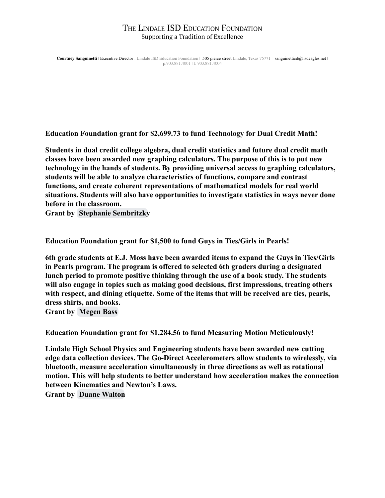**Courtney Sanguinetti** | Executive Director : Lindale ISD Education Foundation | 505 pierce street Lindale, Texas 75771 | sanguinetticd@lisdeagles.net | p:903.881.4001 | f: 903.881.4004

**Education Foundation grant for \$2,699.73 to fund Technology for Dual Credit Math!**

**Students in dual credit college algebra, dual credit statistics and future dual credit math classes have been awarded new graphing calculators. The purpose of this is to put new technology in the hands of students. By providing universal access to graphing calculators, students will be able to analyze characteristics of functions, compare and contrast functions, and create coherent representations of mathematical models for real world situations. Students will also have opportunities to investigate statistics in ways never done before in the classroom.**

**Grant by [Stephanie Sembritzky](mailto:sembritzkysn@lisdeagles.net)**

**Education Foundation grant for \$1,500 to fund Guys in Ties/Girls in Pearls!**

**6th grade students at E.J. Moss have been awarded items to expand the Guys in Ties/Girls in Pearls program. The program is offered to selected 6th graders during a designated lunch period to promote positive thinking through the use of a book study. The students will also engage in topics such as making good decisions, first impressions, treating others with respect, and dining etiquette. Some of the items that will be received are ties, pearls, dress shirts, and books.**

**Grant by [Megen Bass](mailto:bassma@lisdeagles.net)**

**Education Foundation grant for \$1,284.56 to fund Measuring Motion Meticulously!**

**Lindale High School Physics and Engineering students have been awarded new cutting edge data collection devices. The Go-Direct Accelerometers allow students to wirelessly, via bluetooth, measure acceleration simultaneously in three directions as well as rotational motion. This will help students to better understand how acceleration makes the connection between Kinematics and Newton's Laws.**

**Grant by [Duane Walton](mailto:waltondr@lisdeagles.net)**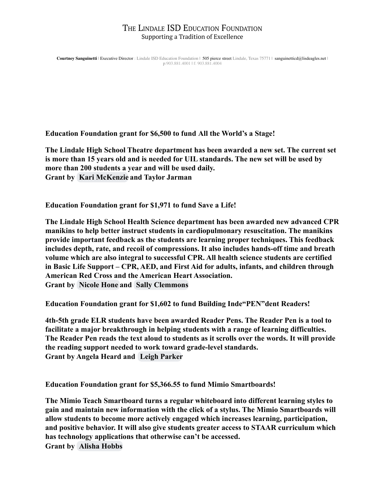**Courtney Sanguinetti** | Executive Director : Lindale ISD Education Foundation | 505 pierce street Lindale, Texas 75771 | sanguinetticd@lisdeagles.net | p:903.881.4001 | f: 903.881.4004

**Education Foundation grant for \$6,500 to fund All the World's a Stage!**

**The Lindale High School Theatre department has been awarded a new set. The current set is more than 15 years old and is needed for UIL standards. The new set will be used by more than 200 students a year and will be used daily. Grant by [Kari McKenzie](mailto:mckenziekd@lisdeagles.net) and Taylor Jarman**

**Education Foundation grant for \$1,971 to fund Save a Life!**

**The Lindale High School Health Science department has been awarded new advanced CPR manikins to help better instruct students in cardiopulmonary resuscitation. The manikins provide important feedback as the students are learning proper techniques. This feedback includes depth, rate, and recoil of compressions. It also includes hands-off time and breath volume which are also integral to successful CPR. All health science students are certified in Basic Life Support – CPR, AED, and First Aid for adults, infants, and children through American Red Cross and the American Heart Association. Grant by [Nicole Hone](mailto:honenb@lisdeagles.net) and [Sally Clemmons](mailto:clemmonsss@lisdeagles.net)**

**Education Foundation grant for \$1,602 to fund Building Inde"PEN"dent Readers!**

**4th-5th grade ELR students have been awarded Reader Pens. The Reader Pen is a tool to facilitate a major breakthrough in helping students with a range of learning difficulties. The Reader Pen reads the text aloud to students as it scrolls over the words. It will provide the reading support needed to work toward grade-level standards. Grant by Angela Heard and [Leigh Parker](mailto:parkerla@lisdeagles.net)**

**Education Foundation grant for \$5,366.55 to fund Mimio Smartboards!**

**The Mimio Teach Smartboard turns a regular whiteboard into different learning styles to gain and maintain new information with the click of a stylus. The Mimio Smartboards will allow students to become more actively engaged which increases learning, participation, and positive behavior. It will also give students greater access to STAAR curriculum which has technology applications that otherwise can't be accessed. Grant by [Alisha Hobbs](mailto:hobbsaa@lisdeagles.net)**